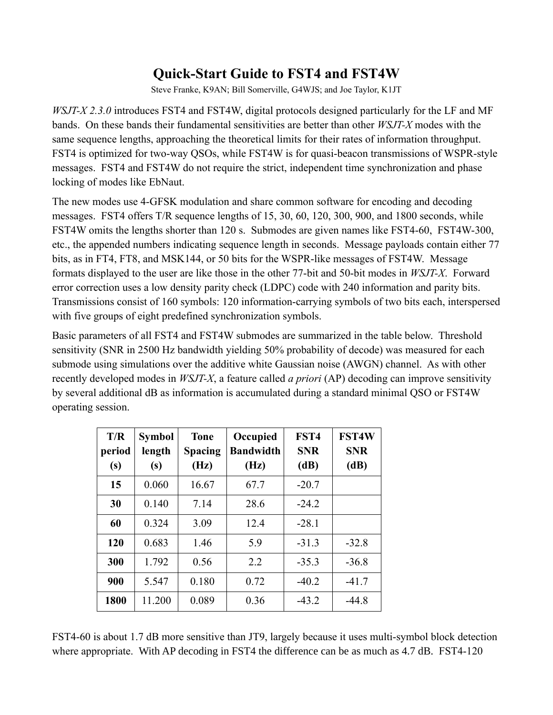## **Quick-Start Guide to FST4 and FST4W**

Steve Franke, K9AN; Bill Somerville, G4WJS; and Joe Taylor, K1JT

*WSJT-X 2.3.0* introduces FST4 and FST4W, digital protocols designed particularly for the LF and MF bands. On these bands their fundamental sensitivities are better than other *WSJT-X* modes with the same sequence lengths, approaching the theoretical limits for their rates of information throughput. FST4 is optimized for two-way QSOs, while FST4W is for quasi-beacon transmissions of WSPR-style messages. FST4 and FST4W do not require the strict, independent time synchronization and phase locking of modes like EbNaut.

The new modes use 4-GFSK modulation and share common software for encoding and decoding messages. FST4 offers T/R sequence lengths of 15, 30, 60, 120, 300, 900, and 1800 seconds, while FST4W omits the lengths shorter than 120 s. Submodes are given names like FST4-60, FST4W-300, etc., the appended numbers indicating sequence length in seconds. Message payloads contain either 77 bits, as in FT4, FT8, and MSK144, or 50 bits for the WSPR-like messages of FST4W. Message formats displayed to the user are like those in the other 77-bit and 50-bit modes in *WSJT-X*. Forward error correction uses a low density parity check (LDPC) code with 240 information and parity bits. Transmissions consist of 160 symbols: 120 information-carrying symbols of two bits each, interspersed with five groups of eight predefined synchronization symbols.

Basic parameters of all FST4 and FST4W submodes are summarized in the table below. Threshold sensitivity (SNR in 2500 Hz bandwidth yielding 50% probability of decode) was measured for each submode using simulations over the additive white Gaussian noise (AWGN) channel. As with other recently developed modes in *WSJT-X*, a feature called *a priori* (AP) decoding can improve sensitivity by several additional dB as information is accumulated during a standard minimal QSO or FST4W operating session.

| T/R<br>period<br>(s) | <b>Symbol</b><br>length<br>(s) | <b>Tone</b><br><b>Spacing</b><br>(Hz) | Occupied<br><b>Bandwidth</b><br>(Hz) | FST4<br><b>SNR</b><br>(dB) | <b>FST4W</b><br><b>SNR</b><br>(dB) |
|----------------------|--------------------------------|---------------------------------------|--------------------------------------|----------------------------|------------------------------------|
| 15                   | 0.060                          | 16.67                                 | 67.7                                 | $-20.7$                    |                                    |
| 30                   | 0.140                          | 7.14                                  | 28.6                                 | $-24.2$                    |                                    |
| 60                   | 0.324                          | 3.09                                  | 12.4                                 | $-28.1$                    |                                    |
| 120                  | 0.683                          | 1.46                                  | 5.9                                  | $-31.3$                    | $-32.8$                            |
| 300                  | 1.792                          | 0.56                                  | 2.2                                  | $-35.3$                    | $-36.8$                            |
| 900                  | 5.547                          | 0.180                                 | 0.72                                 | $-40.2$                    | $-41.7$                            |
| 1800                 | 11.200                         | 0.089                                 | 0.36                                 | $-43.2$                    | $-44.8$                            |

FST4-60 is about 1.7 dB more sensitive than JT9, largely because it uses multi-symbol block detection where appropriate. With AP decoding in FST4 the difference can be as much as 4.7 dB. FST4-120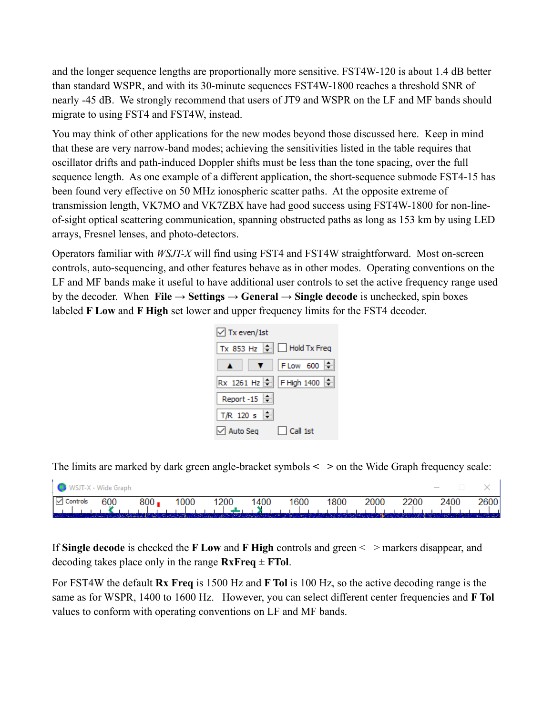and the longer sequence lengths are proportionally more sensitive. FST4W-120 is about 1.4 dB better than standard WSPR, and with its 30-minute sequences FST4W-1800 reaches a threshold SNR of nearly -45 dB. We strongly recommend that users of JT9 and WSPR on the LF and MF bands should migrate to using FST4 and FST4W, instead.

You may think of other applications for the new modes beyond those discussed here. Keep in mind that these are very narrow-band modes; achieving the sensitivities listed in the table requires that oscillator drifts and path-induced Doppler shifts must be less than the tone spacing, over the full sequence length. As one example of a different application, the short-sequence submode FST4-15 has been found very effective on 50 MHz ionospheric scatter paths. At the opposite extreme of transmission length, VK7MO and VK7ZBX have had good success using FST4W-1800 for non-lineof-sight optical scattering communication, spanning obstructed paths as long as 153 km by using LED arrays, Fresnel lenses, and photo-detectors.

Operators familiar with *WSJT-X* will find using FST4 and FST4W straightforward. Most on-screen controls, auto-sequencing, and other features behave as in other modes. Operating conventions on the LF and MF bands make it useful to have additional user controls to set the active frequency range used by the decoder. When **File**  $\rightarrow$  **Settings**  $\rightarrow$  **General**  $\rightarrow$  **Single decode** is unchecked, spin boxes labeled **F Low** and **F High** set lower and upper frequency limits for the FST4 decoder.



The limits are marked by dark green angle-bracket symbols **< >** on the Wide Graph frequency scale:

| WSJT-X - Wide Graph       |     |         |      |                      |      |      |      |      |      | $\overline{\phantom{a}}$                                                             |      |
|---------------------------|-----|---------|------|----------------------|------|------|------|------|------|--------------------------------------------------------------------------------------|------|
| $\boxed{\smile}$ Controls | 600 | $800 -$ | 1000 | 1200                 | 1400 | 1600 | 1800 | 2000 | 2200 | 2400                                                                                 | 2600 |
|                           |     |         |      | د بالا راهبان بارسان |      |      |      |      |      | المطاعمات والمناسبات والمسامع المساحي والمساحة والمساحية والمساحي والمساحية والمساحي |      |

If **Single decode** is checked the **F Low** and **F High** controls and green < > markers disappear, and decoding takes place only in the range  $\mathbf{R} \times \mathbf{F} \cdot \mathbf{r} = \mathbf{F} \cdot \mathbf{r} \cdot \mathbf{r}$ 

For FST4W the default **Rx Freq** is 1500 Hz and **F Tol** is 100 Hz, so the active decoding range is the same as for WSPR, 1400 to 1600 Hz. However, you can select different center frequencies and **F Tol** values to conform with operating conventions on LF and MF bands.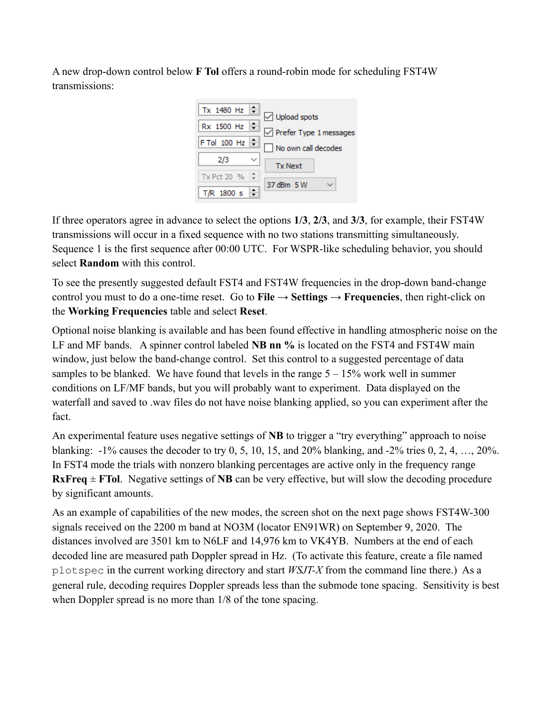A new drop-down control below **F Tol** offers a round-robin mode for scheduling FST4W transmissions:



If three operators agree in advance to select the options **1/3**, **2/3**, and **3/3**, for example, their FST4W transmissions will occur in a fixed sequence with no two stations transmitting simultaneously. Sequence 1 is the first sequence after 00:00 UTC. For WSPR-like scheduling behavior, you should select **Random** with this control.

To see the presently suggested default FST4 and FST4W frequencies in the drop-down band-change control you must to do a one-time reset. Go to **File**  $\rightarrow$  **Settings**  $\rightarrow$  **Frequencies**, then right-click on the **Working Frequencies** table and select **Reset**.

Optional noise blanking is available and has been found effective in handling atmospheric noise on the LF and MF bands. A spinner control labeled **NB nn %** is located on the FST4 and FST4W main window, just below the band-change control. Set this control to a suggested percentage of data samples to be blanked. We have found that levels in the range  $5 - 15\%$  work well in summer conditions on LF/MF bands, but you will probably want to experiment. Data displayed on the waterfall and saved to .wav files do not have noise blanking applied, so you can experiment after the fact.

An experimental feature uses negative settings of **NB** to trigger a "try everything" approach to noise blanking: -1% causes the decoder to try 0, 5, 10, 15, and 20% blanking, and -2% tries 0, 2, 4, …, 20%. In FST4 mode the trials with nonzero blanking percentages are active only in the frequency range **RxFreq**  $\pm$  **FTol**. Negative settings of **NB** can be very effective, but will slow the decoding procedure by significant amounts.

As an example of capabilities of the new modes, the screen shot on the next page shows FST4W-300 signals received on the 2200 m band at NO3M (locator EN91WR) on September 9, 2020. The distances involved are 3501 km to N6LF and 14,976 km to VK4YB. Numbers at the end of each decoded line are measured path Doppler spread in Hz. (To activate this feature, create a file named plotspec in the current working directory and start *WSJT-X* from the command line there.) As a general rule, decoding requires Doppler spreads less than the submode tone spacing. Sensitivity is best when Doppler spread is no more than  $1/8$  of the tone spacing.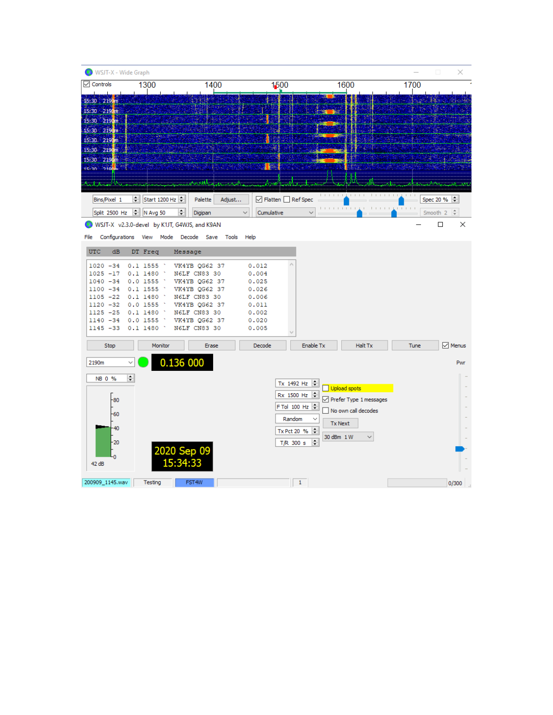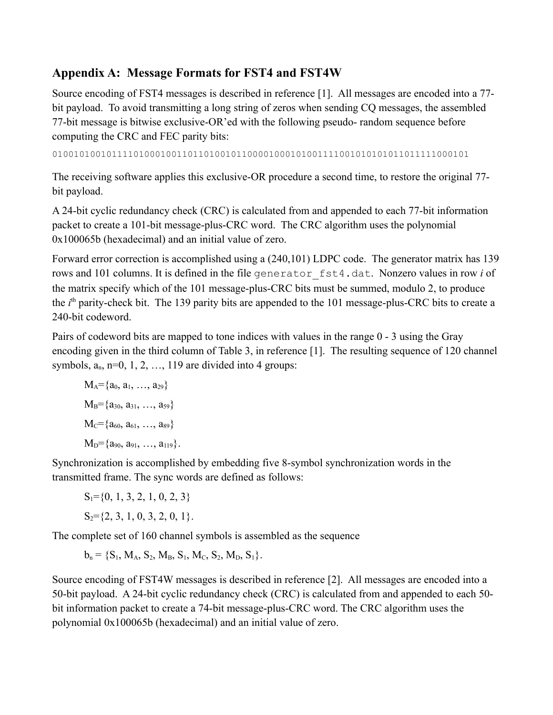## **Appendix A: Message Formats for FST4 and FST4W**

Source encoding of FST4 messages is described in reference [1]. All messages are encoded into a 77 bit payload. To avoid transmitting a long string of zeros when sending CQ messages, the assembled 77-bit message is bitwise exclusive-OR'ed with the following pseudo- random sequence before computing the CRC and FEC parity bits:

01001010010111101000100110110100101100001000101001111001010101011011111000101

The receiving software applies this exclusive-OR procedure a second time, to restore the original 77 bit payload.

A 24-bit cyclic redundancy check (CRC) is calculated from and appended to each 77-bit information packet to create a 101-bit message-plus-CRC word. The CRC algorithm uses the polynomial 0x100065b (hexadecimal) and an initial value of zero.

Forward error correction is accomplished using a (240,101) LDPC code. The generator matrix has 139 rows and 101 columns. It is defined in the file generator\_fst4.dat. Nonzero values in row *i* of the matrix specify which of the 101 message-plus-CRC bits must be summed, modulo 2, to produce the *i*<sup>th</sup> parity-check bit. The 139 parity bits are appended to the 101 message-plus-CRC bits to create a 240-bit codeword.

Pairs of codeword bits are mapped to tone indices with values in the range 0 - 3 using the Gray encoding given in the third column of Table 3, in reference [1]. The resulting sequence of 120 channel symbols,  $a_n$ ,  $n=0, 1, 2, \ldots, 119$  are divided into 4 groups:

$$
M_A = \{a_0, a_1, ..., a_{29}\}
$$
  
\n
$$
M_B = \{a_{30}, a_{31}, ..., a_{59}\}
$$
  
\n
$$
M_C = \{a_{60}, a_{61}, ..., a_{89}\}
$$
  
\n
$$
M_D = \{a_{90}, a_{91}, ..., a_{119}\}.
$$

Synchronization is accomplished by embedding five 8-symbol synchronization words in the transmitted frame. The sync words are defined as follows:

 $S_1 = \{0, 1, 3, 2, 1, 0, 2, 3\}$  $S_2 = \{2, 3, 1, 0, 3, 2, 0, 1\}.$ 

The complete set of 160 channel symbols is assembled as the sequence

 $b_n = \{S_1, M_A, S_2, M_B, S_1, M_C, S_2, M_D, S_1\}.$ 

Source encoding of FST4W messages is described in reference [2]. All messages are encoded into a 50-bit payload. A 24-bit cyclic redundancy check (CRC) is calculated from and appended to each 50 bit information packet to create a 74-bit message-plus-CRC word. The CRC algorithm uses the polynomial 0x100065b (hexadecimal) and an initial value of zero.